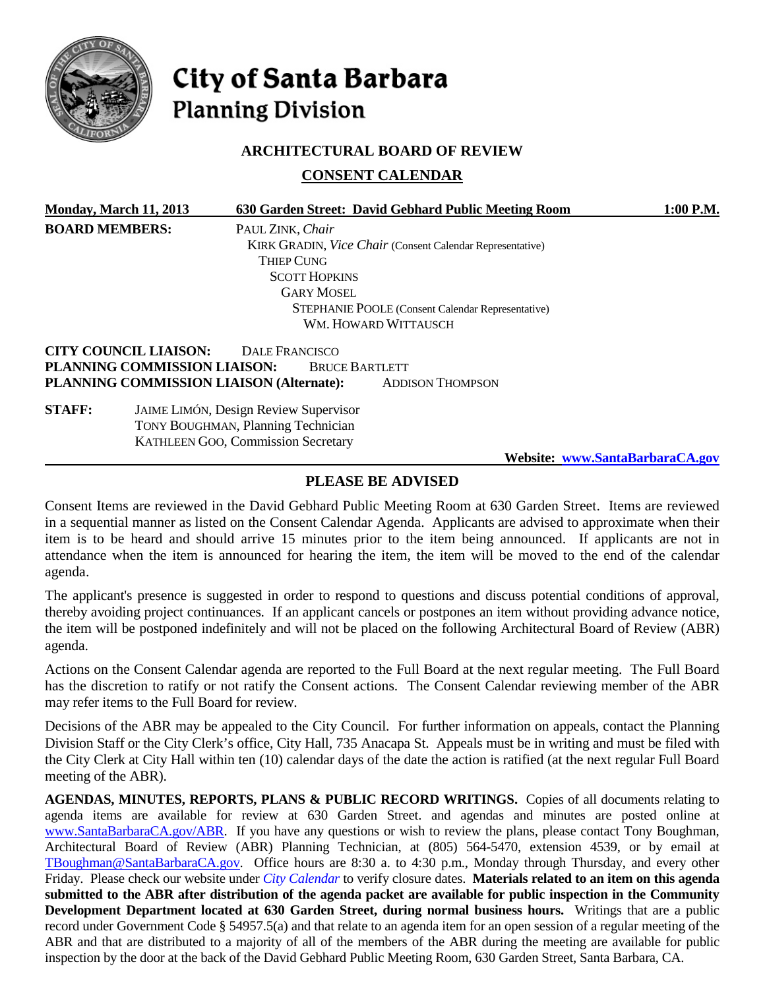

# City of Santa Barbara **Planning Division**

### **ARCHITECTURAL BOARD OF REVIEW**

**CONSENT CALENDAR**

|                       | Monday, March 11, 2013       | 630 Garden Street: David Gebhard Public Meeting Room                                                                                   | 1:00 P.M. |  |
|-----------------------|------------------------------|----------------------------------------------------------------------------------------------------------------------------------------|-----------|--|
| <b>BOARD MEMBERS:</b> |                              | PAUL ZINK, Chair                                                                                                                       |           |  |
|                       |                              | <b>KIRK GRADIN, Vice Chair (Consent Calendar Representative)</b>                                                                       |           |  |
|                       |                              | <b>THIEP CUNG</b>                                                                                                                      |           |  |
|                       |                              | <b>SCOTT HOPKINS</b>                                                                                                                   |           |  |
|                       |                              | <b>GARY MOSEL</b>                                                                                                                      |           |  |
|                       |                              | <b>STEPHANIE POOLE</b> (Consent Calendar Representative)                                                                               |           |  |
|                       |                              | WM. HOWARD WITTAUSCH                                                                                                                   |           |  |
|                       | <b>CITY COUNCIL LIAISON:</b> | DALE FRANCISCO                                                                                                                         |           |  |
|                       | PLANNING COMMISSION LIAISON: | <b>BRUCE BARTLETT</b>                                                                                                                  |           |  |
|                       |                              | PLANNING COMMISSION LIAISON (Alternate):<br><b>ADDISON THOMPSON</b>                                                                    |           |  |
| <b>STAFF:</b>         |                              | <b>JAIME LIMÓN, Design Review Supervisor</b><br><b>TONY BOUGHMAN, Planning Technician</b><br><b>KATHLEEN GOO, Commission Secretary</b> |           |  |

**Website: [www.SantaBarbaraCA.gov](http://www.santabarbaraca.gov/)**

# **PLEASE BE ADVISED**

Consent Items are reviewed in the David Gebhard Public Meeting Room at 630 Garden Street. Items are reviewed in a sequential manner as listed on the Consent Calendar Agenda. Applicants are advised to approximate when their item is to be heard and should arrive 15 minutes prior to the item being announced. If applicants are not in attendance when the item is announced for hearing the item, the item will be moved to the end of the calendar agenda.

The applicant's presence is suggested in order to respond to questions and discuss potential conditions of approval, thereby avoiding project continuances. If an applicant cancels or postpones an item without providing advance notice, the item will be postponed indefinitely and will not be placed on the following Architectural Board of Review (ABR) agenda.

Actions on the Consent Calendar agenda are reported to the Full Board at the next regular meeting. The Full Board has the discretion to ratify or not ratify the Consent actions. The Consent Calendar reviewing member of the ABR may refer items to the Full Board for review.

Decisions of the ABR may be appealed to the City Council. For further information on appeals, contact the Planning Division Staff or the City Clerk's office, City Hall, 735 Anacapa St. Appeals must be in writing and must be filed with the City Clerk at City Hall within ten (10) calendar days of the date the action is ratified (at the next regular Full Board meeting of the ABR).

AGENDAS, MINUTES, REPORTS, PLANS & PUBLIC RECORD WRITINGS. Copies of all documents relating to agenda items are available for review at 630 Garden Street. and agendas and minutes are posted online at [www.SantaBarbaraCA.gov/ABR.](http://www.santabarbaraca.gov/ABR) If you have any questions or wish to review the plans, please contact Tony Boughman, Architectural Board of Review (ABR) Planning Technician, at (805) 564-5470, extension 4539, or by email at [TBoughman@SantaBarbaraCA.gov.](mailto:TBoughman@SantaBarbaraCA.gov) Office hours are 8:30 a. to 4:30 p.m., Monday through Thursday, and every other Friday. Please check our website under *City Calendar* to verify closure dates. **Materials related to an item on this agenda submitted to the ABR after distribution of the agenda packet are available for public inspection in the Community Development Department located at 630 Garden Street, during normal business hours.** Writings that are a public record under Government Code § 54957.5(a) and that relate to an agenda item for an open session of a regular meeting of the ABR and that are distributed to a majority of all of the members of the ABR during the meeting are available for public inspection by the door at the back of the David Gebhard Public Meeting Room, 630 Garden Street, Santa Barbara, CA.